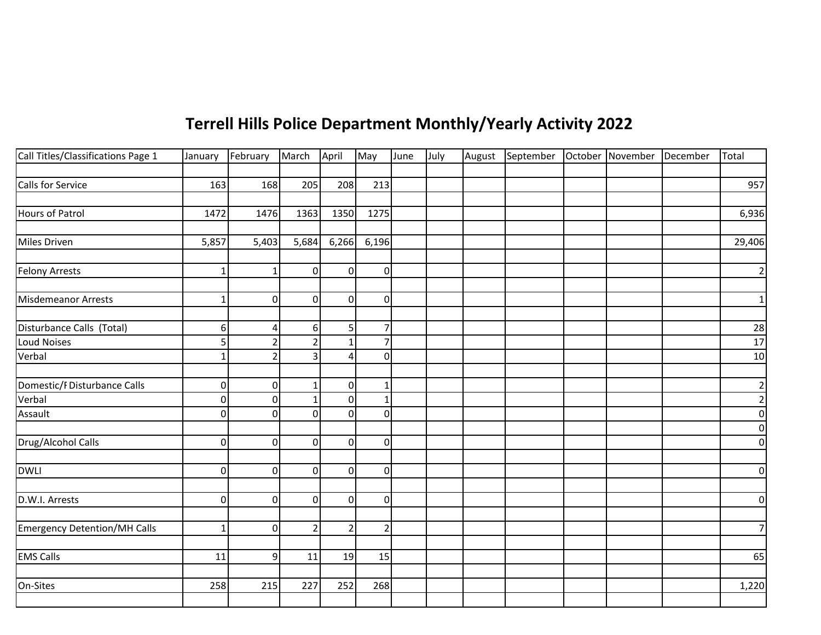## **Terrell Hills Police Department Monthly/Yearly Activity 2022**

| Call Titles/Classifications Page 1  | January        | February       | March          | April          | May                      | June | July | August September October November December |  | Total          |
|-------------------------------------|----------------|----------------|----------------|----------------|--------------------------|------|------|--------------------------------------------|--|----------------|
|                                     |                |                |                |                |                          |      |      |                                            |  |                |
| Calls for Service                   | 163            | 168            | 205            | 208            | 213                      |      |      |                                            |  | 957            |
|                                     |                |                |                |                |                          |      |      |                                            |  |                |
| <b>Hours of Patrol</b>              | 1472           | 1476           | 1363           | 1350           | 1275                     |      |      |                                            |  | 6,936          |
|                                     |                |                |                |                |                          |      |      |                                            |  |                |
| Miles Driven                        | 5,857          | 5,403          | 5,684          | 6,266          | 6,196                    |      |      |                                            |  | 29,406         |
|                                     |                |                |                |                |                          |      |      |                                            |  |                |
| <b>Felony Arrests</b>               | $\mathbf 1$    | $\mathbf{1}$   | $\mathbf 0$    | $\overline{0}$ | 0                        |      |      |                                            |  | $\overline{2}$ |
|                                     |                |                |                |                |                          |      |      |                                            |  |                |
| Misdemeanor Arrests                 | $\mathbf 1$    | $\mathbf{0}$   | $\Omega$       | 0l             | 0                        |      |      |                                            |  | $1\vert$       |
|                                     |                |                |                |                |                          |      |      |                                            |  |                |
| Disturbance Calls (Total)           | $6 \mid$       | 4              | 6              | 5              | 7                        |      |      |                                            |  | 28             |
| <b>Loud Noises</b>                  | 5              | $\mathcal{P}$  | $\overline{2}$ |                |                          |      |      |                                            |  | 17             |
| Verbal                              | $\mathbf{1}$   | $\overline{2}$ | 3              | 4              | $\Omega$                 |      |      |                                            |  | 10             |
|                                     |                |                |                |                |                          |      |      |                                            |  |                |
| Domestic/FDisturbance Calls         | $\overline{0}$ | 0              | $\mathbf 1$    | $\overline{0}$ | $\mathbf{1}$             |      |      |                                            |  | $\overline{2}$ |
| Verbal                              | $\overline{0}$ | $\mathbf 0$    | $\mathbf 1$    | $\overline{0}$ | $\mathbf{1}$             |      |      |                                            |  | $\mathbf 2$    |
| Assault                             | $\overline{0}$ | $\mathbf 0$    | $\Omega$       | $\Omega$       | $\mathbf 0$              |      |      |                                            |  | $\overline{0}$ |
|                                     |                |                |                |                |                          |      |      |                                            |  | $\overline{0}$ |
| Drug/Alcohol Calls                  | $\overline{0}$ | 0              | $\mathbf 0$    | $\overline{0}$ | $\mathbf 0$              |      |      |                                            |  | $\overline{0}$ |
|                                     |                |                |                |                |                          |      |      |                                            |  |                |
| <b>DWLI</b>                         | $\overline{0}$ | $\mathbf{0}$   | $\Omega$       | $\overline{0}$ | 0                        |      |      |                                            |  | $\overline{0}$ |
|                                     |                |                |                |                |                          |      |      |                                            |  |                |
| D.W.I. Arrests                      | $\overline{0}$ | $\mathbf 0$    | $\mathbf 0$    | οl             | $\mathbf 0$              |      |      |                                            |  | $\overline{0}$ |
|                                     |                |                |                |                |                          |      |      |                                            |  |                |
| <b>Emergency Detention/MH Calls</b> | $\mathbf{1}$   | $\mathbf 0$    | $\overline{2}$ | $\overline{2}$ | $\overline{\phantom{a}}$ |      |      |                                            |  | $7\overline{}$ |
|                                     |                |                |                |                |                          |      |      |                                            |  |                |
| <b>EMS Calls</b>                    | 11             | 9              | 11             | 19             | 15                       |      |      |                                            |  | 65             |
|                                     |                |                |                |                |                          |      |      |                                            |  |                |
| On-Sites                            | 258            | 215            | 227            | 252            | 268                      |      |      |                                            |  | 1,220          |
|                                     |                |                |                |                |                          |      |      |                                            |  |                |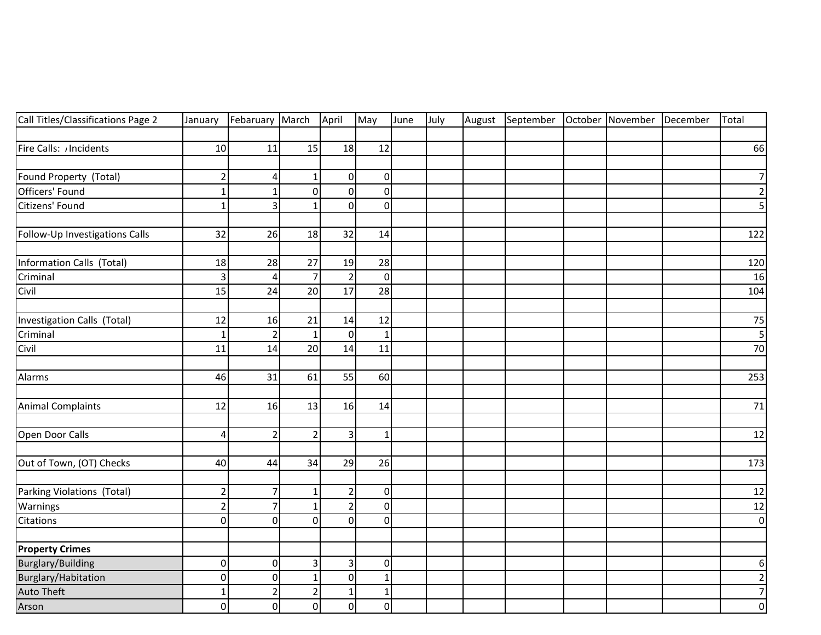| Call Titles/Classifications Page 2 | January                 | Febaruary March |                | April          | May            | June | July | August | September October November December |  | Total          |
|------------------------------------|-------------------------|-----------------|----------------|----------------|----------------|------|------|--------|-------------------------------------|--|----------------|
|                                    |                         |                 |                |                |                |      |      |        |                                     |  |                |
| Fire Calls: /Incidents             | 10                      | 11              | 15             | 18             | 12             |      |      |        |                                     |  | 66             |
|                                    |                         |                 |                |                |                |      |      |        |                                     |  |                |
| Found Property (Total)             | $\overline{\mathbf{c}}$ | 4               | 1              | $\pmb{0}$      | $\overline{0}$ |      |      |        |                                     |  | 7              |
| Officers' Found                    | $\mathbf{1}$            |                 | $\overline{0}$ | $\mathbf 0$    | οl             |      |      |        |                                     |  | $\overline{2}$ |
| Citizens' Found                    | $\mathbf{1}$            | 3               | $\mathbf{1}$   | $\mathbf 0$    | $\overline{0}$ |      |      |        |                                     |  | 5              |
| Follow-Up Investigations Calls     | 32                      | 26              | 18             | 32             | 14             |      |      |        |                                     |  | 122            |
| Information Calls (Total)          | 18                      | 28              | 27             | 19             | 28             |      |      |        |                                     |  | 120            |
| Criminal                           | 3                       | $\overline{4}$  | $\overline{7}$ | $\overline{2}$ | $\Omega$       |      |      |        |                                     |  | 16             |
| Civil                              | 15                      | 24              | 20             | 17             | 28             |      |      |        |                                     |  | 104            |
| Investigation Calls (Total)        | 12                      | 16              | 21             | 14             | 12             |      |      |        |                                     |  | 75             |
| Criminal                           | $\mathbf{1}$            | $\overline{2}$  | $\mathbf{1}$   | $\mathbf 0$    | $\mathbf{1}$   |      |      |        |                                     |  | $\overline{5}$ |
| Civil                              | 11                      | 14              | 20             | 14             | 11             |      |      |        |                                     |  | 70             |
|                                    |                         |                 |                |                |                |      |      |        |                                     |  |                |
| Alarms                             | 46                      | 31              | 61             | 55             | 60             |      |      |        |                                     |  | 253            |
|                                    |                         |                 |                |                |                |      |      |        |                                     |  |                |
| <b>Animal Complaints</b>           | 12                      | 16              | 13             | 16             | 14             |      |      |        |                                     |  | 71             |
| Open Door Calls                    | 4                       | $\overline{2}$  | $\overline{2}$ | 3              | $\mathbf{1}$   |      |      |        |                                     |  | 12             |
| Out of Town, (OT) Checks           | 40                      | 44              | 34             | 29             | 26             |      |      |        |                                     |  | 173            |
|                                    |                         |                 |                |                |                |      |      |        |                                     |  |                |
| Parking Violations (Total)         | $\overline{c}$          | $\overline{7}$  | $\mathbf{1}$   | $\overline{2}$ | $\overline{0}$ |      |      |        |                                     |  | 12             |
| Warnings                           | $\mathbf 2$             | $\overline{7}$  | $\mathbf{1}$   | $\overline{2}$ | $\Omega$       |      |      |        |                                     |  | $12\,$         |
| Citations                          | $\mathbf 0$             | $\Omega$        | $\Omega$       | $\Omega$       | $\Omega$       |      |      |        |                                     |  | $\overline{0}$ |
|                                    |                         |                 |                |                |                |      |      |        |                                     |  |                |
| <b>Property Crimes</b>             |                         |                 |                |                |                |      |      |        |                                     |  |                |
| <b>Burglary/Building</b>           | $\mathbf 0$             | $\Omega$        | 3              | 3              | $\overline{0}$ |      |      |        |                                     |  | 6 <sup>1</sup> |
| Burglary/Habitation                | $\pmb{0}$               | $\overline{0}$  | $\mathbf{1}$   | 0              | 1              |      |      |        |                                     |  | $\overline{2}$ |
| <b>Auto Theft</b>                  | $\mathbf 1$             | $\overline{2}$  | $\overline{2}$ | 1              | 1              |      |      |        |                                     |  | $\overline{7}$ |
| Arson                              | $\mathbf 0$             | $\overline{0}$  | $\overline{0}$ | $\mathbf 0$    | $\overline{0}$ |      |      |        |                                     |  | $\overline{0}$ |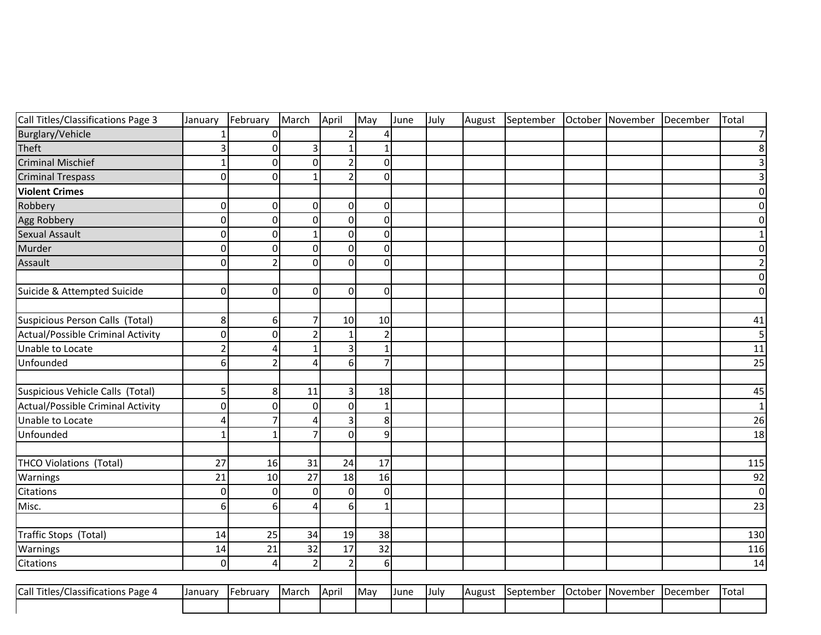| Call Titles/Classifications Page 3       | January        | February       | March          | April          | May            | June | July | August | September |         | October November | December | Total            |
|------------------------------------------|----------------|----------------|----------------|----------------|----------------|------|------|--------|-----------|---------|------------------|----------|------------------|
| Burglary/Vehicle                         | 1              | $\mathbf 0$    |                | $\overline{2}$ | 4              |      |      |        |           |         |                  |          | $\boldsymbol{7}$ |
| Theft                                    | 3              | $\mathbf 0$    | 3              | $\mathbf{1}$   | 1              |      |      |        |           |         |                  |          | $\bf 8$          |
| <b>Criminal Mischief</b>                 | 1              | $\mathbf 0$    | $\Omega$       | $\overline{2}$ | $\Omega$       |      |      |        |           |         |                  |          | 3                |
| <b>Criminal Trespass</b>                 | $\mathbf 0$    | $\mathbf 0$    | $\mathbf{1}$   | $\overline{2}$ | $\Omega$       |      |      |        |           |         |                  |          | 3                |
| <b>Violent Crimes</b>                    |                |                |                |                |                |      |      |        |           |         |                  |          | 0                |
| Robbery                                  | $\overline{0}$ | $\mathbf 0$    | 0              | 0              | $\Omega$       |      |      |        |           |         |                  |          | 0                |
| Agg Robbery                              | $\mathbf 0$    | $\mathbf 0$    | $\Omega$       | $\mathbf 0$    | $\overline{0}$ |      |      |        |           |         |                  |          | $\mathbf 0$      |
| Sexual Assault                           | $\pmb{0}$      | $\mathbf 0$    | 1              | 0              | $\overline{0}$ |      |      |        |           |         |                  |          | $\mathbf{1}$     |
| Murder                                   | $\pmb{0}$      | $\mathbf 0$    | $\Omega$       | 0              | $\overline{0}$ |      |      |        |           |         |                  |          | $\pmb{0}$        |
| Assault                                  | $\mathbf 0$    | $\overline{2}$ | $\Omega$       | 0              | $\overline{0}$ |      |      |        |           |         |                  |          | $\overline{2}$   |
|                                          |                |                |                |                |                |      |      |        |           |         |                  |          | $\pmb{0}$        |
| Suicide & Attempted Suicide              | $\overline{0}$ | $\Omega$       | $\Omega$       | $\Omega$       | $\Omega$       |      |      |        |           |         |                  |          | $\pmb{0}$        |
|                                          |                |                |                |                |                |      |      |        |           |         |                  |          |                  |
| Suspicious Person Calls (Total)          | 8              | 6              | $\overline{7}$ | 10             | 10             |      |      |        |           |         |                  |          | 41               |
| Actual/Possible Criminal Activity        | $\overline{0}$ | $\Omega$       | $\overline{2}$ | $\mathbf{1}$   | $\overline{2}$ |      |      |        |           |         |                  |          | 5                |
| Unable to Locate                         | $\overline{2}$ | 4              | -1             | 3              | 1              |      |      |        |           |         |                  |          | 11               |
| Unfounded                                | 6              | $\mathcal{P}$  | Δ              | 6              | $\overline{7}$ |      |      |        |           |         |                  |          | 25               |
|                                          |                |                |                |                |                |      |      |        |           |         |                  |          |                  |
| Suspicious Vehicle Calls (Total)         | 5              | 8              | 11             | 3              | 18             |      |      |        |           |         |                  |          | 45               |
| <b>Actual/Possible Criminal Activity</b> | 0              | $\mathbf 0$    | $\Omega$       | $\Omega$       | $\mathbf{1}$   |      |      |        |           |         |                  |          | $\mathbf 1$      |
| Unable to Locate                         | 4              | $\overline{7}$ | 4              | 3              | 8 <sup>1</sup> |      |      |        |           |         |                  |          | 26               |
| Unfounded                                | $\mathbf{1}$   | $\mathbf{1}$   | 7              | $\Omega$       | 9              |      |      |        |           |         |                  |          | 18               |
|                                          |                |                |                |                |                |      |      |        |           |         |                  |          |                  |
| <b>THCO Violations (Total)</b>           | 27             | 16             | 31             | 24             | 17             |      |      |        |           |         |                  |          | 115              |
| Warnings                                 | 21             | 10             | 27             | 18             | 16             |      |      |        |           |         |                  |          | 92               |
| Citations                                | $\overline{0}$ | $\mathbf{0}$   | 0              | $\Omega$       | $\Omega$       |      |      |        |           |         |                  |          | $\mathbf 0$      |
| Misc.                                    | 6              | 6              | Δ              | 6              | 1              |      |      |        |           |         |                  |          | 23               |
|                                          |                |                |                |                |                |      |      |        |           |         |                  |          |                  |
| Traffic Stops (Total)                    | 14             | 25             | 34             | 19             | 38             |      |      |        |           |         |                  |          | 130              |
| Warnings                                 | 14             | 21             | 32             | 17             | 32             |      |      |        |           |         |                  |          | 116              |
| Citations                                | $\overline{0}$ | $\Delta$       | $\overline{2}$ | $\overline{2}$ | $6\vert$       |      |      |        |           |         |                  |          | 14               |
|                                          |                |                |                |                |                |      |      |        |           |         |                  |          |                  |
| Call Titles/Classifications Page 4       | January        | February       | March          | April          | May            | June | July | August | September | October | November         | December | Total            |
|                                          |                |                |                |                |                |      |      |        |           |         |                  |          |                  |